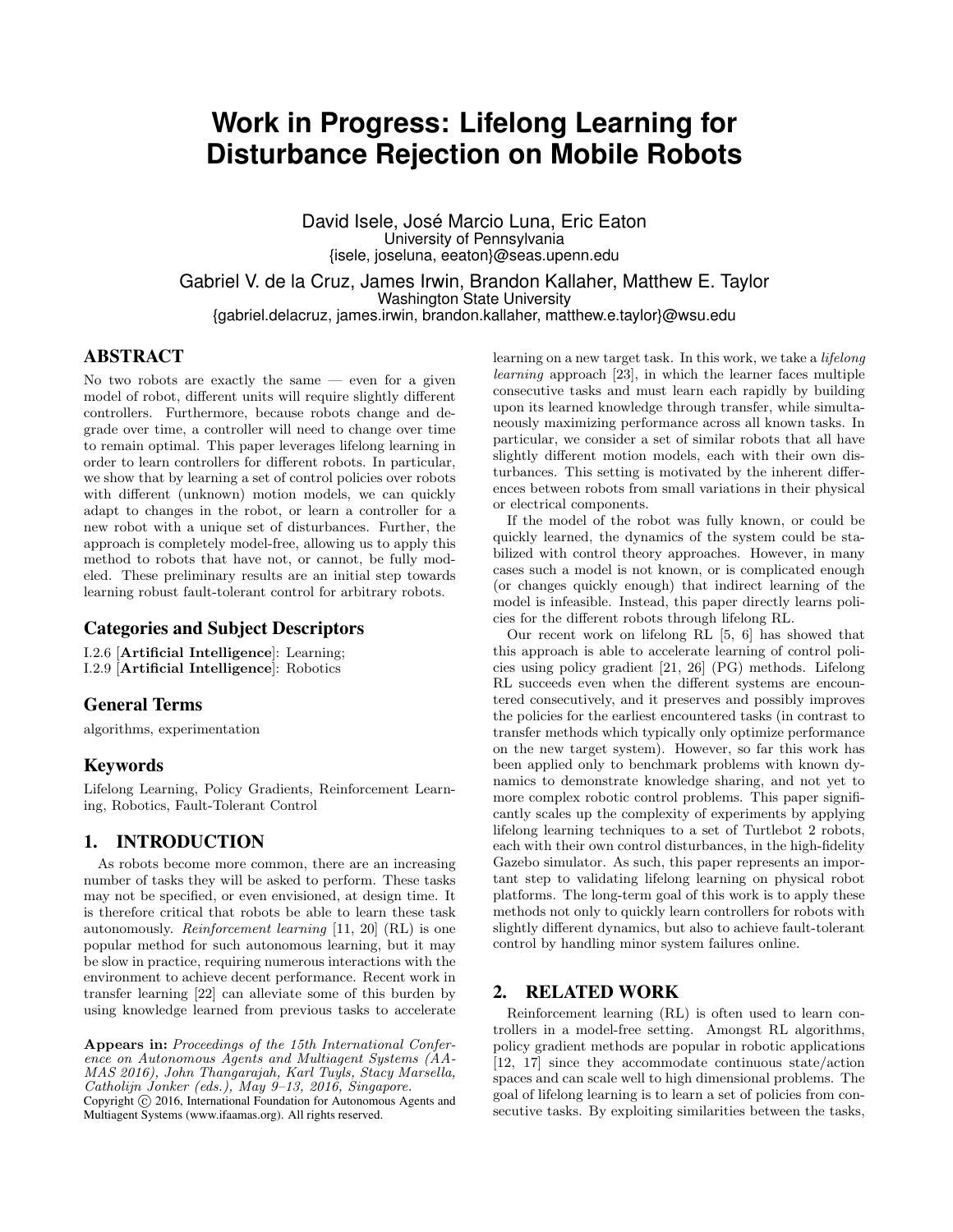# **Work in Progress: Lifelong Learning for Disturbance Rejection on Mobile Robots**

David Isele, José Marcio Luna, Eric Eaton University of Pennsylvania {isele, joseluna, eeaton}@seas.upenn.edu

Gabriel V. de la Cruz, James Irwin, Brandon Kallaher, Matthew E. Taylor Washington State University {gabriel.delacruz, james.irwin, brandon.kallaher, matthew.e.taylor}@wsu.edu

## ABSTRACT

No two robots are exactly the same  $-$  even for a given model of robot, different units will require slightly different controllers. Furthermore, because robots change and degrade over time, a controller will need to change over time to remain optimal. This paper leverages lifelong learning in order to learn controllers for different robots. In particular, we show that by learning a set of control policies over robots with different (unknown) motion models, we can quickly adapt to changes in the robot, or learn a controller for a new robot with a unique set of disturbances. Further, the approach is completely model-free, allowing us to apply this method to robots that have not, or cannot, be fully modeled. These preliminary results are an initial step towards learning robust fault-tolerant control for arbitrary robots.

#### Categories and Subject Descriptors

I.2.6 [Artificial Intelligence]: Learning; I.2.9 [Artificial Intelligence]: Robotics

## General Terms

algorithms, experimentation

## Keywords

Lifelong Learning, Policy Gradients, Reinforcement Learning, Robotics, Fault-Tolerant Control

## 1. INTRODUCTION

As robots become more common, there are an increasing number of tasks they will be asked to perform. These tasks may not be specified, or even envisioned, at design time. It is therefore critical that robots be able to learn these task autonomously. Reinforcement learning [11, 20] (RL) is one popular method for such autonomous learning, but it may be slow in practice, requiring numerous interactions with the environment to achieve decent performance. Recent work in transfer learning [22] can alleviate some of this burden by using knowledge learned from previous tasks to accelerate

Appears in: Proceedings of the 15th International Conference on Autonomous Agents and Multiagent Systems (AA-MAS 2016), John Thangarajah, Karl Tuyls, Stacy Marsella, Catholijn Jonker (eds.), May  $9-13$ , 2016, Singapore.

Copyright (C) 2016, International Foundation for Autonomous Agents and Multiagent Systems (www.ifaamas.org). All rights reserved.

learning on a new target task. In this work, we take a lifelong learning approach [23], in which the learner faces multiple consecutive tasks and must learn each rapidly by building upon its learned knowledge through transfer, while simultaneously maximizing performance across all known tasks. In particular, we consider a set of similar robots that all have slightly different motion models, each with their own disturbances. This setting is motivated by the inherent differences between robots from small variations in their physical or electrical components.

If the model of the robot was fully known, or could be quickly learned, the dynamics of the system could be stabilized with control theory approaches. However, in many cases such a model is not known, or is complicated enough (or changes quickly enough) that indirect learning of the model is infeasible. Instead, this paper directly learns policies for the different robots through lifelong RL.

Our recent work on lifelong RL [5, 6] has showed that this approach is able to accelerate learning of control policies using policy gradient [21, 26] (PG) methods. Lifelong RL succeeds even when the different systems are encountered consecutively, and it preserves and possibly improves the policies for the earliest encountered tasks (in contrast to transfer methods which typically only optimize performance on the new target system). However, so far this work has been applied only to benchmark problems with known dynamics to demonstrate knowledge sharing, and not yet to more complex robotic control problems. This paper significantly scales up the complexity of experiments by applying lifelong learning techniques to a set of Turtlebot 2 robots, each with their own control disturbances, in the high-fidelity Gazebo simulator. As such, this paper represents an important step to validating lifelong learning on physical robot platforms. The long-term goal of this work is to apply these methods not only to quickly learn controllers for robots with slightly different dynamics, but also to achieve fault-tolerant control by handling minor system failures online.

## 2. RELATED WORK

Reinforcement learning (RL) is often used to learn controllers in a model-free setting. Amongst RL algorithms, policy gradient methods are popular in robotic applications [12, 17] since they accommodate continuous state/action spaces and can scale well to high dimensional problems. The goal of lifelong learning is to learn a set of policies from consecutive tasks. By exploiting similarities between the tasks,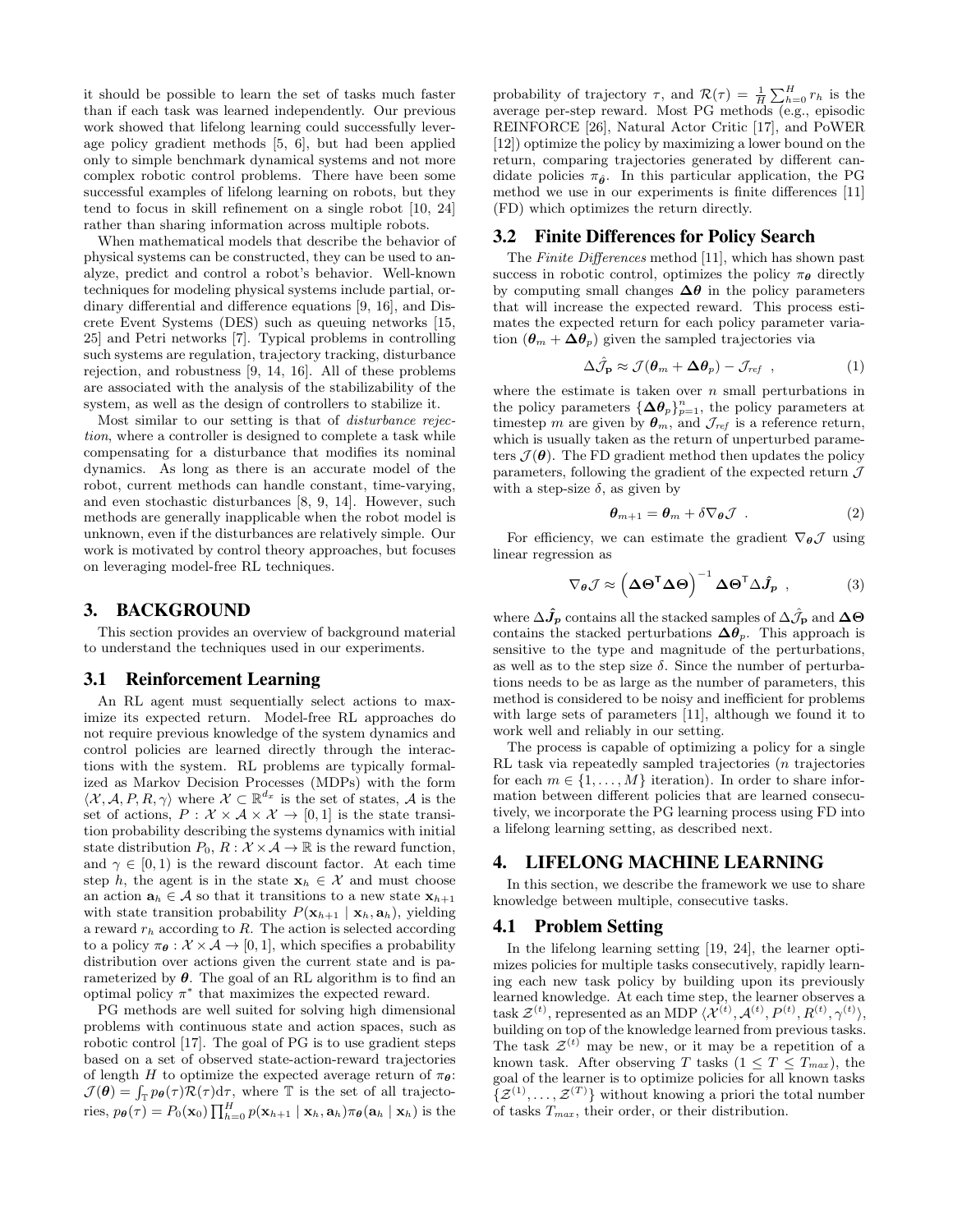it should be possible to learn the set of tasks much faster than if each task was learned independently. Our previous work showed that lifelong learning could successfully leverage policy gradient methods [5, 6], but had been applied only to simple benchmark dynamical systems and not more complex robotic control problems. There have been some successful examples of lifelong learning on robots, but they tend to focus in skill refinement on a single robot [10, 24] rather than sharing information across multiple robots.

When mathematical models that describe the behavior of physical systems can be constructed, they can be used to analyze, predict and control a robot's behavior. Well-known techniques for modeling physical systems include partial, ordinary differential and difference equations [9, 16], and Discrete Event Systems (DES) such as queuing networks [15, 25] and Petri networks [7]. Typical problems in controlling such systems are regulation, trajectory tracking, disturbance rejection, and robustness [9, 14, 16]. All of these problems are associated with the analysis of the stabilizability of the system, as well as the design of controllers to stabilize it.

Most similar to our setting is that of disturbance rejection, where a controller is designed to complete a task while compensating for a disturbance that modifies its nominal dynamics. As long as there is an accurate model of the robot, current methods can handle constant, time-varying, and even stochastic disturbances [8, 9, 14]. However, such methods are generally inapplicable when the robot model is unknown, even if the disturbances are relatively simple. Our work is motivated by control theory approaches, but focuses on leveraging model-free RL techniques.

#### 3. BACKGROUND

This section provides an overview of background material to understand the techniques used in our experiments.

#### 3.1 Reinforcement Learning

An RL agent must sequentially select actions to maximize its expected return. Model-free RL approaches do not require previous knowledge of the system dynamics and control policies are learned directly through the interactions with the system. RL problems are typically formalized as Markov Decision Processes (MDPs) with the form  $\langle \mathcal{X}, \mathcal{A}, P, R, \gamma \rangle$  where  $\mathcal{X} \subset \mathbb{R}^{d_x}$  is the set of states,  $\mathcal{A}$  is the set of actions,  $P: \mathcal{X} \times \mathcal{A} \times \mathcal{X} \rightarrow [0,1]$  is the state transition probability describing the systems dynamics with initial state distribution  $P_0, R : \mathcal{X} \times \mathcal{A} \rightarrow \mathbb{R}$  is the reward function, and  $\gamma \in [0, 1)$  is the reward discount factor. At each time step h, the agent is in the state  $x_h \in \mathcal{X}$  and must choose an action  $\mathbf{a}_h \in \mathcal{A}$  so that it transitions to a new state  $\mathbf{x}_{h+1}$ with state transition probability  $P(\mathbf{x}_{h+1} | \mathbf{x}_h, \mathbf{a}_h)$ , yielding a reward  $r_h$  according to  $R$ . The action is selected according to a policy  $\pi_{\theta} : \mathcal{X} \times \mathcal{A} \rightarrow [0, 1]$ , which specifies a probability distribution over actions given the current state and is parameterized by  $\theta$ . The goal of an RL algorithm is to find an optimal policy  $\pi^*$  that maximizes the expected reward.

PG methods are well suited for solving high dimensional problems with continuous state and action spaces, such as robotic control [17]. The goal of PG is to use gradient steps based on a set of observed state-action-reward trajectories of length H to optimize the expected average return of  $\pi_{\theta}$ :  $\mathcal{J}(\theta) = \int_{\mathbb{T}} p_{\theta}(\tau) \mathcal{R}(\tau) d\tau$ , where  $\mathbb{T}$  is the set of all trajectories,  $p_{\theta}(\tau) = P_0(\mathbf{x}_0) \prod_{h=0}^H p(\mathbf{x}_{h+1} | \mathbf{x}_h, \mathbf{a}_h) \pi_{\theta}(\mathbf{a}_h | \mathbf{x}_h)$  is the

probability of trajectory  $\tau$ , and  $\mathcal{R}(\tau) = \frac{1}{H} \sum_{h=0}^{H} r_h$  is the average per-step reward. Most PG methods (e.g., episodic REINFORCE [26], Natural Actor Critic [17], and PoWER [12]) optimize the policy by maximizing a lower bound on the return, comparing trajectories generated by different candidate policies  $\pi_{\hat{\theta}}$ . In this particular application, the PG method we use in our experiments is finite differences [11] (FD) which optimizes the return directly.

#### 3.2 Finite Differences for Policy Search

The Finite Differences method [11], which has shown past success in robotic control, optimizes the policy  $\pi_{\theta}$  directly by computing small changes  $\Delta\theta$  in the policy parameters that will increase the expected reward. This process estimates the expected return for each policy parameter variation  $(\theta_m + \Delta \theta_p)$  given the sampled trajectories via

$$
\Delta \hat{\mathcal{J}}_{\mathbf{p}} \approx \mathcal{J}(\boldsymbol{\theta}_{m} + \boldsymbol{\Delta \theta}_{p}) - \mathcal{J}_{ref} , \qquad (1)
$$

where the estimate is taken over  $n$  small perturbations in the policy parameters  $\{\Delta\theta_p\}_{p=1}^n$ , the policy parameters at timestep m are given by  $\theta_m$ , and  $\mathcal{J}_{ref}$  is a reference return, which is usually taken as the return of unperturbed parameters  $\mathcal{J}(\boldsymbol{\theta})$ . The FD gradient method then updates the policy parameters, following the gradient of the expected return  $\mathcal J$ with a step-size  $\delta$ , as given by

$$
\boldsymbol{\theta}_{m+1} = \boldsymbol{\theta}_m + \delta \nabla_{\boldsymbol{\theta}} \mathcal{J} \tag{2}
$$

For efficiency, we can estimate the gradient  $\nabla_{\theta} \mathcal{J}$  using linear regression as

$$
\nabla_{\theta} \mathcal{J} \approx \left(\Delta \Theta^{\mathsf{T}} \Delta \Theta\right)^{-1} \Delta \Theta^{\mathsf{T}} \Delta \hat{J}_{p} , \qquad (3)
$$

where  $\Delta \hat{J}_p$  contains all the stacked samples of  $\Delta \hat{J}_p$  and  $\Delta \Theta$ contains the stacked perturbations  $\Delta\theta_p$ . This approach is sensitive to the type and magnitude of the perturbations, as well as to the step size  $\delta$ . Since the number of perturbations needs to be as large as the number of parameters, this method is considered to be noisy and inefficient for problems with large sets of parameters [11], although we found it to work well and reliably in our setting.

The process is capable of optimizing a policy for a single RL task via repeatedly sampled trajectories (n trajectories for each  $m \in \{1, \ldots, M\}$  iteration). In order to share information between different policies that are learned consecutively, we incorporate the PG learning process using FD into a lifelong learning setting, as described next.

## 4. LIFELONG MACHINE LEARNING

In this section, we describe the framework we use to share knowledge between multiple, consecutive tasks.

#### 4.1 Problem Setting

In the lifelong learning setting [19, 24], the learner optimizes policies for multiple tasks consecutively, rapidly learning each new task policy by building upon its previously learned knowledge. At each time step, the learner observes a task  $\mathcal{Z}^{(t)}$ , represented as an MDP  $\langle \mathcal{X}^{(t)}, \mathcal{A}^{(t)}, P^{(t)}, R^{(t)}, \gamma^{(t)} \rangle$ , building on top of the knowledge learned from previous tasks. The task  $\mathcal{Z}^{(t)}$  may be new, or it may be a repetition of a known task. After observing T tasks  $(1 \leq T \leq T_{max})$ , the goal of the learner is to optimize policies for all known tasks  $\{\mathcal{Z}^{(1)}, \ldots, \mathcal{Z}^{(T)}\}\$  without knowing a priori the total number of tasks  $T_{max}$ , their order, or their distribution.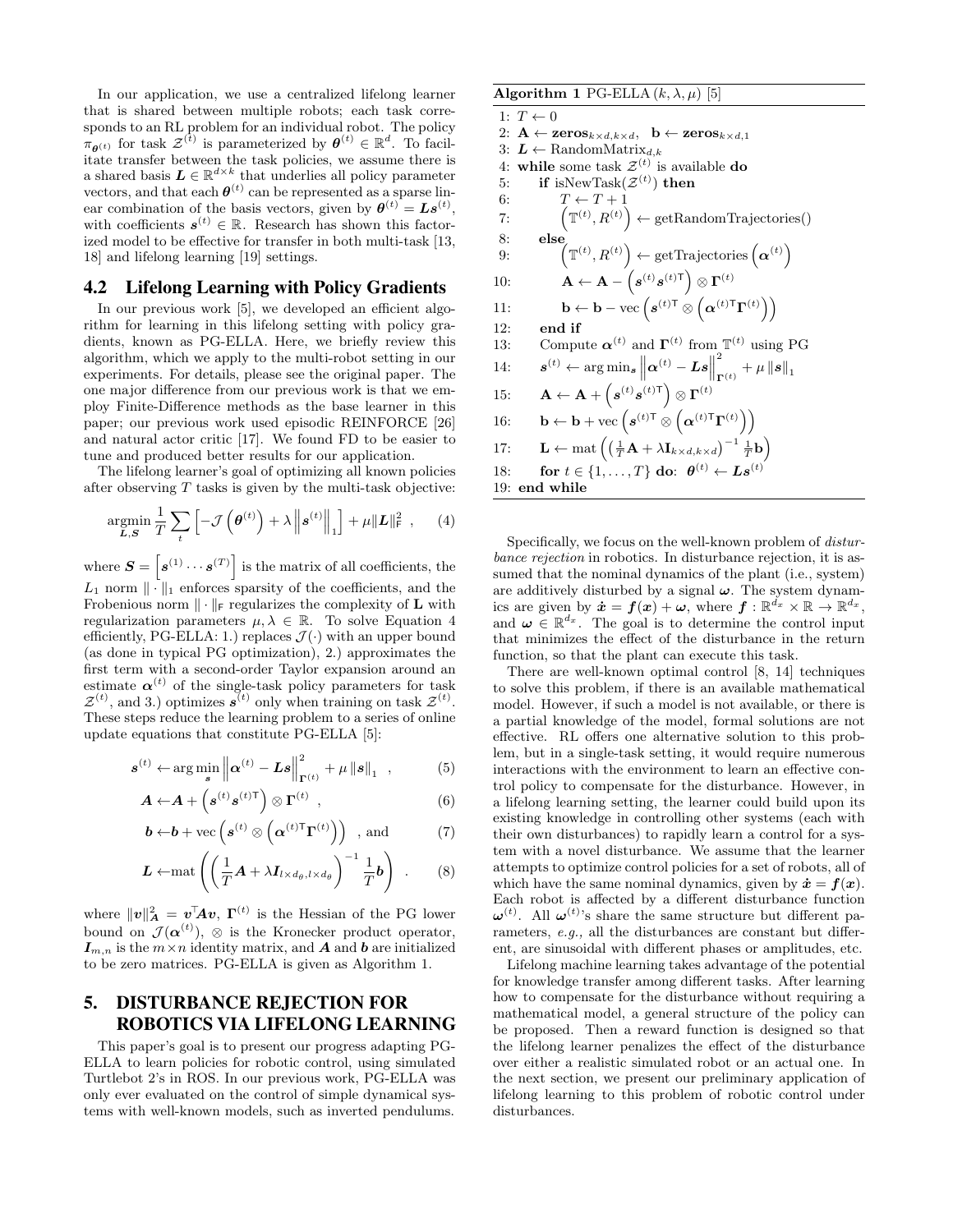In our application, we use a centralized lifelong learner that is shared between multiple robots; each task corresponds to an RL problem for an individual robot. The policy  $\pi_{\theta^{(t)}}$  for task  $\mathcal{Z}^{(t)}$  is parameterized by  $\theta^{(t)} \in \mathbb{R}^d$ . To facilitate transfer between the task policies, we assume there is a shared basis  $\boldsymbol{L} \in \mathbb{R}^{d \times k}$  that underlies all policy parameter vectors, and that each  $\boldsymbol{\theta}^{(t)}$  can be represented as a sparse linear combination of the basis vectors, given by  $\boldsymbol{\theta}^{(t)} = \boldsymbol{L}\boldsymbol{s}^{(t)}$ , with coefficients  $s^{(t)} \in \mathbb{R}$ . Research has shown this factorized model to be effective for transfer in both multi-task [13, 18] and lifelong learning [19] settings.

#### 4.2 Lifelong Learning with Policy Gradients

In our previous work [5], we developed an efficient algorithm for learning in this lifelong setting with policy gradients, known as PG-ELLA. Here, we briefly review this algorithm, which we apply to the multi-robot setting in our experiments. For details, please see the original paper. The one major difference from our previous work is that we employ Finite-Difference methods as the base learner in this paper; our previous work used episodic REINFORCE [26] and natural actor critic [17]. We found FD to be easier to tune and produced better results for our application.

The lifelong learner's goal of optimizing all known policies after observing  $T$  tasks is given by the multi-task objective:

$$
\underset{\mathcal{L},\mathcal{S}}{\operatorname{argmin}} \frac{1}{T} \sum_{t} \left[ -\mathcal{J}\left(\boldsymbol{\theta}^{(t)}\right) + \lambda \left\| \boldsymbol{s}^{(t)} \right\|_{1} \right] + \mu \| \boldsymbol{L} \|_{\text{F}}^{2} \tag{4}
$$

where  $\mathbf{S} = \begin{bmatrix} \mathbf{s}^{(1)} \cdots \mathbf{s}^{(T)} \end{bmatrix}$  is the matrix of all coefficients, the  $L_1$  norm  $\|\cdot\|_1$  enforces sparsity of the coefficients, and the Frobenious norm  $\|\cdot\|_F$  regularizes the complexity of **L** with regularization parameters  $\mu, \lambda \in \mathbb{R}$ . To solve Equation 4 efficiently, PG-ELLA: 1.) replaces  $\mathcal{J}(\cdot)$  with an upper bound (as done in typical PG optimization), 2.) approximates the first term with a second-order Taylor expansion around an estimate  $\alpha^{(t)}$  of the single-task policy parameters for task  $\mathcal{Z}^{(t)}$ , and 3.) optimizes  $s^{(t)}$  only when training on task  $\mathcal{Z}^{(t)}$ . These steps reduce the learning problem to a series of online update equations that constitute PG-ELLA [5]:

$$
\boldsymbol{s}^{(t)} \leftarrow \arg\min_{\boldsymbol{s}} \left\| \boldsymbol{\alpha}^{(t)} - \boldsymbol{L}\boldsymbol{s} \right\|_{\boldsymbol{\Gamma}^{(t)}}^2 + \mu \left\| \boldsymbol{s} \right\|_1 , \qquad (5)
$$

$$
\boldsymbol{A} \leftarrow \boldsymbol{A} + \left(\boldsymbol{s}^{(t)} \boldsymbol{s}^{(t)\mathsf{T}}\right) \otimes \boldsymbol{\Gamma}^{(t)} \tag{6}
$$

$$
\boldsymbol{b} \leftarrow \boldsymbol{b} + \text{vec}\left(\boldsymbol{s}^{(t)} \otimes \left(\boldsymbol{\alpha}^{(t)\mathsf{T}} \boldsymbol{\Gamma}^{(t)}\right)\right) \quad \text{and} \tag{7}
$$

$$
\boldsymbol{L} \leftarrow \text{mat} \left( \left( \frac{1}{T} \boldsymbol{A} + \lambda \boldsymbol{I}_{l \times d_{\theta}, l \times d_{\theta}} \right)^{-1} \frac{1}{T} \boldsymbol{b} \right) . \qquad (8)
$$

where  $\|\boldsymbol{v}\|^2_{\boldsymbol{A}} = \boldsymbol{v}^{\!\top}\!\! \boldsymbol{A} \boldsymbol{v}, \ \boldsymbol{\Gamma}^{(t)}$  is the Hessian of the PG lower bound on  $\mathcal{J}(\boldsymbol{\alpha}^{(t)})$ ,  $\otimes$  is the Kronecker product operator,  $I_{m,n}$  is the  $m \times n$  identity matrix, and **A** and **b** are initialized to be zero matrices. PG-ELLA is given as Algorithm 1.

# 5. DISTURBANCE REJECTION FOR ROBOTICS VIA LIFELONG LEARNING

This paper's goal is to present our progress adapting PG-ELLA to learn policies for robotic control, using simulated Turtlebot 2's in ROS. In our previous work, PG-ELLA was only ever evaluated on the control of simple dynamical systems with well-known models, such as inverted pendulums.

# Algorithm 1 PG-ELLA  $(k, \lambda, \mu)$  [5]  $1: T \leftarrow 0$ 2:  $\mathbf{A} \leftarrow \mathbf{zeros}_{k \times d, k \times d}, \ \mathbf{b} \leftarrow \mathbf{zeros}_{k \times d, 1}$ 3:  $L$  ← RandomMatrix<sub>d,k</sub> 4: while some task  $\mathcal{Z}^{(t)}$  is available **do**  $5: \quad \quad {\bf if}\,\, \mathrm{isNewTask}(\boldsymbol{\mathcal{Z}}^{(t)})\,\, {\bf then}$ 6:  $T \leftarrow T + 1$ 7:  $\left( \mathbb{T}^{(t)}, R^{(t)} \right) \leftarrow \text{getRandomTrajectories}()$ 8: else<br>
9:  $\left(\mathbb{T}^{(t)}, R^{(t)}\right) \leftarrow \text{getTrajectories}\left(\boldsymbol{\alpha}^{(t)}\right)$ 10:  $\mathbf{A} \leftarrow \mathbf{A} - \left(s^{(t)} s^{(t)\mathsf{T}}\right) \otimes \mathbf{\Gamma}^{(t)}$ 11:  $\mathbf{b} \leftarrow \mathbf{b} - \text{vec}\left(\mathbf{s}^{(t)\mathsf{T}} \otimes \left(\boldsymbol{\alpha}^{(t)\mathsf{T}} \boldsymbol{\Gamma}^{(t)}\right)\right)$ 12: end if 13: Compute  $\boldsymbol{\alpha}^{(t)}$  and  $\boldsymbol{\Gamma}^{(t)}$  from  $\mathbb{T}^{(t)}$  using PG  $14:$  $\mathbf{a}^{(t)} \leftarrow \argmin_{\mathbf{s}} \left\| \boldsymbol{\alpha}^{(t)} - \boldsymbol{L}\boldsymbol{s} \right\|_2^2$ 2  $\mathbf{r}^{(t)} + \mu \left\|\boldsymbol{s}\right\|_1$  $15: \qquad {\bf A} \leftarrow {\bf A} + \left(s^{(t)} s^{(t) \mathsf{T}}\right) \otimes \Gamma^{(t)}$ 16:  $\mathbf{b} \leftarrow \mathbf{b} + \text{vec}\left(\mathbf{s}^{(t)\mathsf{T}} \otimes \left(\boldsymbol{\alpha}^{(t)\mathsf{T}} \boldsymbol{\Gamma}^{(t)}\right)\right)$ 17:  $\mathbf{L} \leftarrow \text{mat} \left( \left( \frac{1}{T} \mathbf{A} + \lambda \mathbf{I}_{k \times d, k \times d} \right)^{-1} \frac{1}{T} \mathbf{b} \right)$ 18: for  $t \in \{1, \ldots, T\}$  do:  $\boldsymbol{\theta}^{(t)} \leftarrow \boldsymbol{L}\boldsymbol{s}^{(t)}$ 19: end while

Specifically, we focus on the well-known problem of disturbance rejection in robotics. In disturbance rejection, it is assumed that the nominal dynamics of the plant (i.e., system) are additively disturbed by a signal  $\omega$ . The system dynamics are given by  $\dot{x} = f(x) + \omega$ , where  $f: \mathbb{R}^{\dot{d}_x} \times \mathbb{R} \to \mathbb{R}^{d_x}$ , and  $\boldsymbol{\omega} \in \mathbb{R}^{d_x}$ . The goal is to determine the control input that minimizes the effect of the disturbance in the return function, so that the plant can execute this task.

There are well-known optimal control [8, 14] techniques to solve this problem, if there is an available mathematical model. However, if such a model is not available, or there is a partial knowledge of the model, formal solutions are not effective. RL offers one alternative solution to this problem, but in a single-task setting, it would require numerous interactions with the environment to learn an effective control policy to compensate for the disturbance. However, in a lifelong learning setting, the learner could build upon its existing knowledge in controlling other systems (each with their own disturbances) to rapidly learn a control for a system with a novel disturbance. We assume that the learner attempts to optimize control policies for a set of robots, all of which have the same nominal dynamics, given by  $\dot{x} = f(x)$ . Each robot is affected by a different disturbance function  $\boldsymbol{\omega}^{(t)}$ . All  $\boldsymbol{\omega}^{(t)}$ 's share the same structure but different parameters, e.g., all the disturbances are constant but different, are sinusoidal with different phases or amplitudes, etc.

Lifelong machine learning takes advantage of the potential for knowledge transfer among different tasks. After learning how to compensate for the disturbance without requiring a mathematical model, a general structure of the policy can be proposed. Then a reward function is designed so that the lifelong learner penalizes the effect of the disturbance over either a realistic simulated robot or an actual one. In the next section, we present our preliminary application of lifelong learning to this problem of robotic control under disturbances.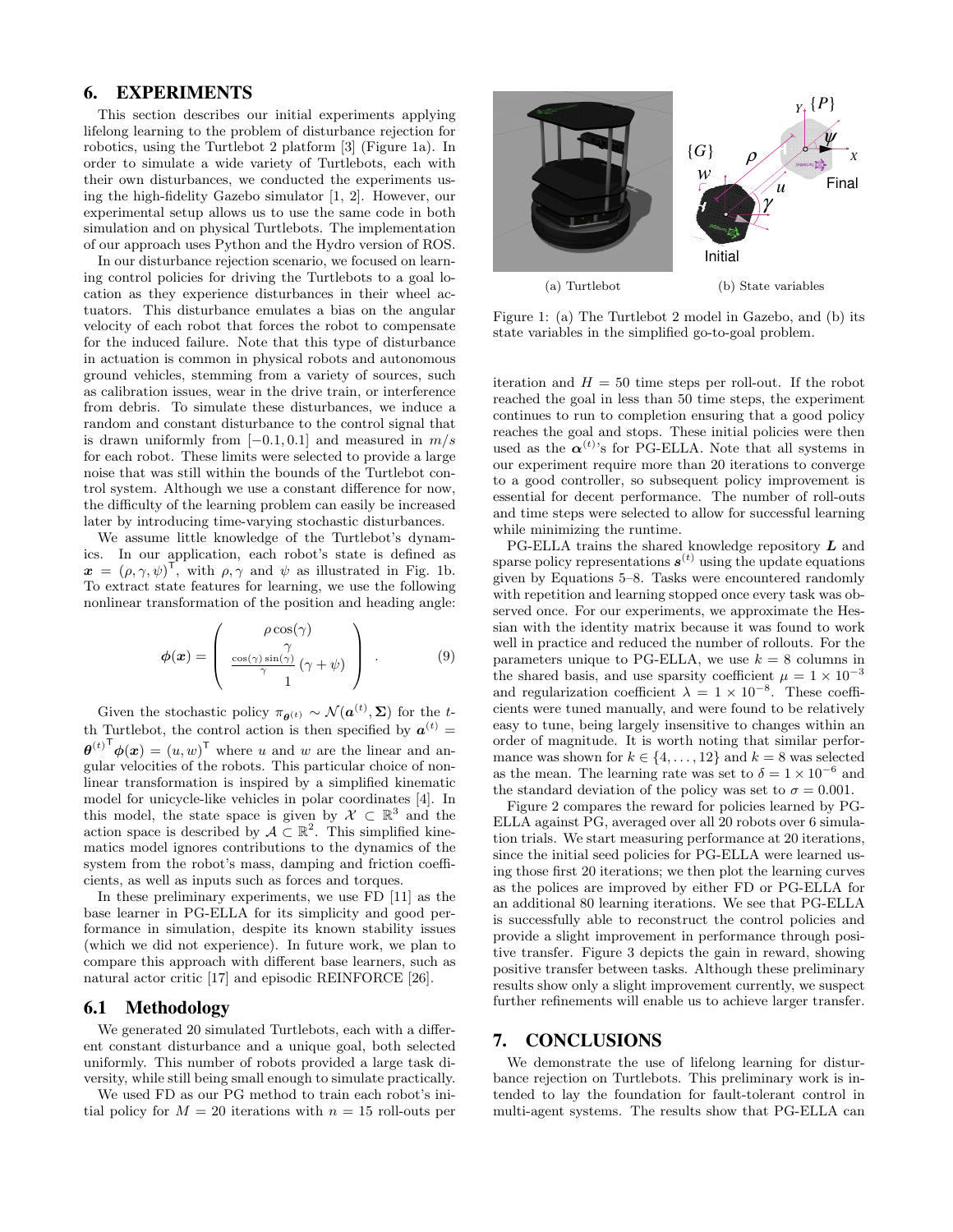#### 6. EXPERIMENTS

This section describes our initial experiments applying lifelong learning to the problem of disturbance rejection for robotics, using the Turtlebot 2 platform [3] (Figure 1a). In order to simulate a wide variety of Turtlebots, each with their own disturbances, we conducted the experiments using the high-fidelity Gazebo simulator [1, 2]. However, our experimental setup allows us to use the same code in both simulation and on physical Turtlebots. The implementation of our approach uses Python and the Hydro version of ROS.

In our disturbance rejection scenario, we focused on learning control policies for driving the Turtlebots to a goal location as they experience disturbances in their wheel actuators. This disturbance emulates a bias on the angular velocity of each robot that forces the robot to compensate for the induced failure. Note that this type of disturbance in actuation is common in physical robots and autonomous ground vehicles, stemming from a variety of sources, such as calibration issues, wear in the drive train, or interference from debris. To simulate these disturbances, we induce a random and constant disturbance to the control signal that is drawn uniformly from  $[-0.1, 0.1]$  and measured in  $m/s$ for each robot. These limits were selected to provide a large noise that was still within the bounds of the Turtlebot control system. Although we use a constant difference for now, the difficulty of the learning problem can easily be increased later by introducing time-varying stochastic disturbances.

We assume little knowledge of the Turtlebot's dynamics. In our application, each robot's state is defined as  $\boldsymbol{x} = (\rho, \gamma, \psi)^\mathsf{T}$ , with  $\rho, \gamma$  and  $\psi$  as illustrated in Fig. 1b. To extract state features for learning, we use the following nonlinear transformation of the position and heading angle:

$$
\phi(\boldsymbol{x}) = \begin{pmatrix} \rho \cos(\gamma) \\ \gamma \\ \frac{\cos(\gamma)\sin(\gamma)}{\gamma} (\gamma + \psi) \\ 1 \end{pmatrix} . \tag{9}
$$

Given the stochastic policy  $\pi_{\theta^{(t)}} \sim \mathcal{N}(\boldsymbol{a}^{(t)}, \boldsymbol{\Sigma})$  for the tth Turtlebot, the control action is then specified by  $a^{(t)} =$  ${\boldsymbol{\theta}^{(t)}}^{\mathsf{T}} {\boldsymbol{\phi}}({\boldsymbol{x}}) = (u,w)^{\mathsf{T}}$  where u and w are the linear and angular velocities of the robots. This particular choice of nonlinear transformation is inspired by a simplified kinematic model for unicycle-like vehicles in polar coordinates [4]. In this model, the state space is given by  $\mathcal{X} \subset \mathbb{R}^3$  and the action space is described by  $A \subset \mathbb{R}^2$ . This simplified kinematics model ignores contributions to the dynamics of the system from the robot's mass, damping and friction coefficients, as well as inputs such as forces and torques.

In these preliminary experiments, we use FD [11] as the base learner in PG-ELLA for its simplicity and good performance in simulation, despite its known stability issues (which we did not experience). In future work, we plan to compare this approach with different base learners, such as natural actor critic [17] and episodic REINFORCE [26].

#### 6.1 Methodology

We generated 20 simulated Turtlebots, each with a different constant disturbance and a unique goal, both selected uniformly. This number of robots provided a large task diversity, while still being small enough to simulate practically.

We used FD as our PG method to train each robot's initial policy for  $M = 20$  iterations with  $n = 15$  roll-outs per



Figure 1: (a) The Turtlebot 2 model in Gazebo, and (b) its state variables in the simplified go-to-goal problem.

iteration and  $H = 50$  time steps per roll-out. If the robot reached the goal in less than 50 time steps, the experiment continues to run to completion ensuring that a good policy reaches the goal and stops. These initial policies were then used as the  $\alpha^{(t)}$ 's for PG-ELLA. Note that all systems in our experiment require more than 20 iterations to converge to a good controller, so subsequent policy improvement is essential for decent performance. The number of roll-outs and time steps were selected to allow for successful learning while minimizing the runtime.

PG-ELLA trains the shared knowledge repository  $\boldsymbol{L}$  and sparse policy representations  $s^{(t)}$  using the update equations given by Equations 5–8. Tasks were encountered randomly with repetition and learning stopped once every task was observed once. For our experiments, we approximate the Hessian with the identity matrix because it was found to work well in practice and reduced the number of rollouts. For the parameters unique to PG-ELLA, we use  $k = 8$  columns in the shared basis, and use sparsity coefficient  $\mu = 1 \times 10^{-3}$ and regularization coefficient  $\lambda = 1 \times 10^{-8}$ . These coefficients were tuned manually, and were found to be relatively easy to tune, being largely insensitive to changes within an order of magnitude. It is worth noting that similar performance was shown for  $k \in \{4, ..., 12\}$  and  $k = 8$  was selected as the mean. The learning rate was set to  $\delta = 1 \times 10^{-6}$  and the standard deviation of the policy was set to  $\sigma = 0.001$ .

Figure 2 compares the reward for policies learned by PG-ELLA against PG, averaged over all 20 robots over 6 simulation trials. We start measuring performance at 20 iterations, since the initial seed policies for PG-ELLA were learned using those first 20 iterations; we then plot the learning curves as the polices are improved by either FD or PG-ELLA for an additional 80 learning iterations. We see that PG-ELLA is successfully able to reconstruct the control policies and provide a slight improvement in performance through positive transfer. Figure 3 depicts the gain in reward, showing positive transfer between tasks. Although these preliminary results show only a slight improvement currently, we suspect further refinements will enable us to achieve larger transfer.

## 7. CONCLUSIONS

We demonstrate the use of lifelong learning for disturbance rejection on Turtlebots. This preliminary work is intended to lay the foundation for fault-tolerant control in multi-agent systems. The results show that PG-ELLA can